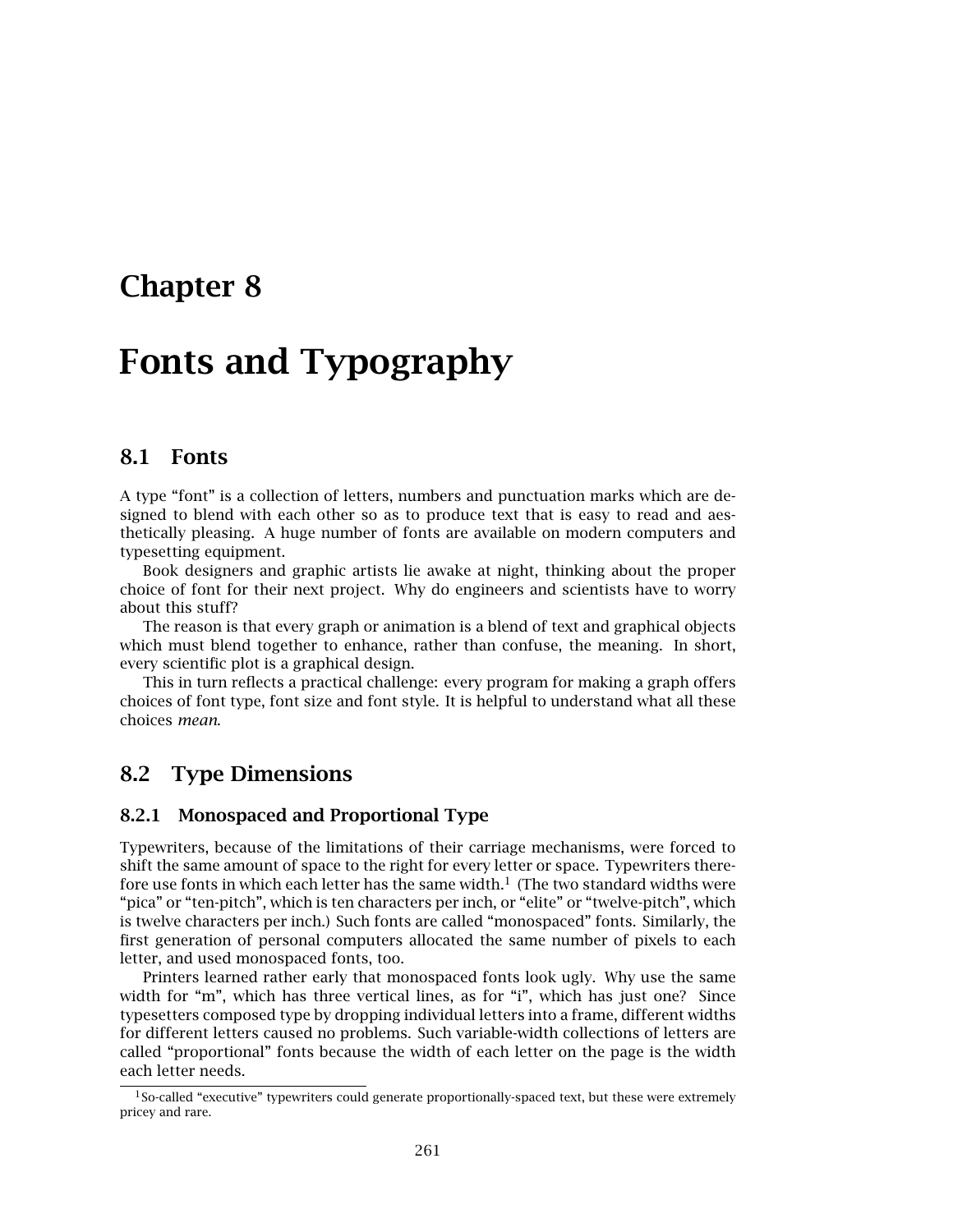# **Chapter 8**

# **Fonts and Typography**

#### **8.1 Fonts**

A type "font" is a collection of letters, numbers and punctuation marks which are designed to blend with each other so as to produce text that is easy to read and aesthetically pleasing. A huge number of fonts are available on modern computers and typesetting equipment.

Book designers and graphic artists lie awake at night, thinking about the proper choice of font for their next project. Why do engineers and scientists have to worry about this stuff?

The reason is that every graph or animation is a blend of text and graphical objects which must blend together to enhance, rather than confuse, the meaning. In short, every scientific plot is a graphical design.

This in turn reflects a practical challenge: every program for making a graph offers choices of font type, font size and font style. It is helpful to understand what all these choices *mean*.

#### **8.2 Type Dimensions**

#### **8.2.1 Monospaced and Proportional Type**

Typewriters, because of the limitations of their carriage mechanisms, were forced to shift the same amount of space to the right for every letter or space. Typewriters therefore use fonts in which each letter has the same width.<sup>1</sup> (The two standard widths were "pica" or "ten-pitch", which is ten characters per inch, or "elite" or "twelve-pitch", which is twelve characters per inch.) Such fonts are called "monospaced" fonts. Similarly, the first generation of personal computers allocated the same number of pixels to each letter, and used monospaced fonts, too.

Printers learned rather early that monospaced fonts look ugly. Why use the same width for "m", which has three vertical lines, as for "i", which has just one? Since typesetters composed type by dropping individual letters into a frame, different widths for different letters caused no problems. Such variable-width collections of letters are called "proportional" fonts because the width of each letter on the page is the width each letter needs.

 $1$ So-called "executive" typewriters could generate proportionally-spaced text, but these were extremely pricey and rare.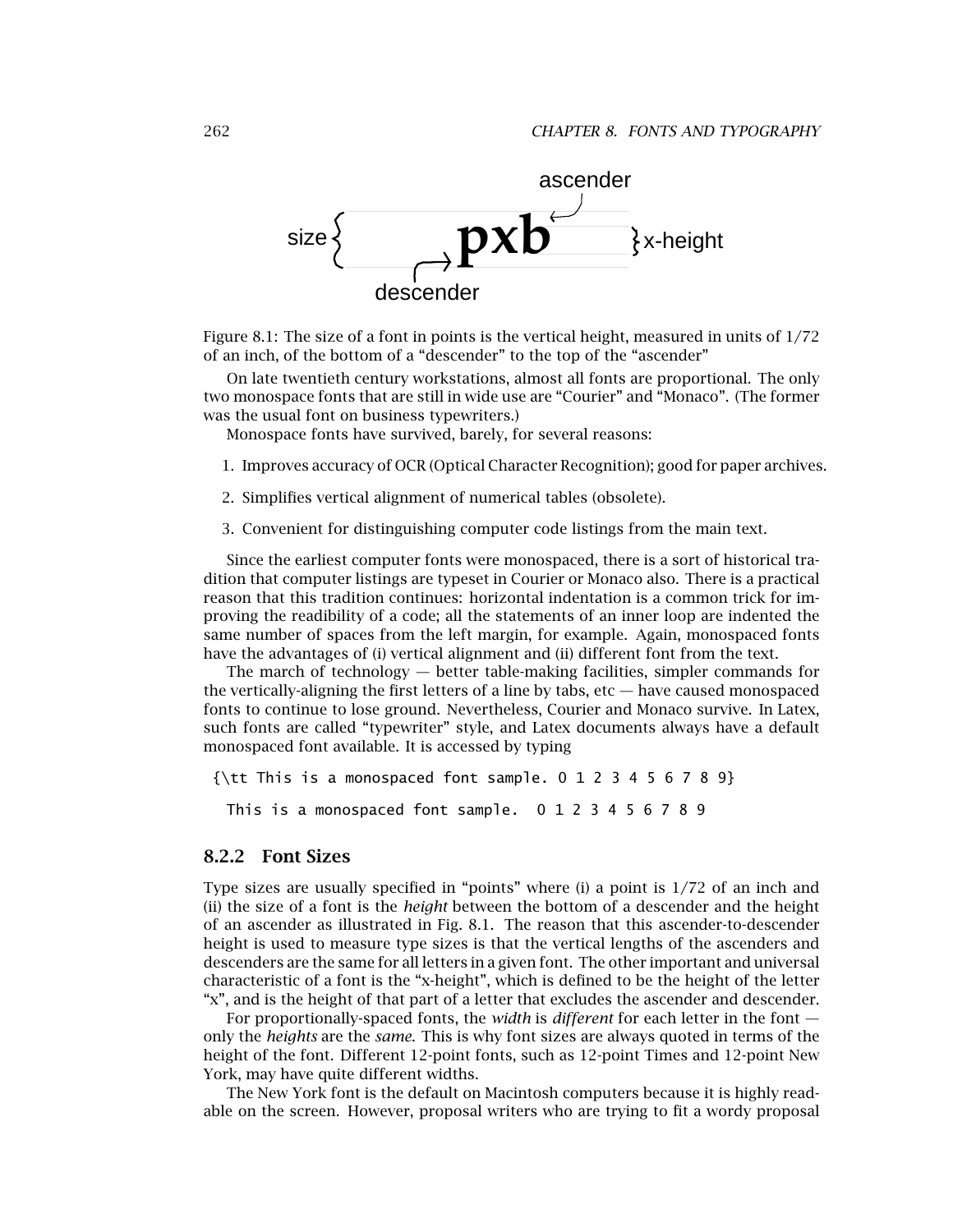

Figure 8.1: The size of a font in points is the vertical height, measured in units of 1/72 of an inch, of the bottom of a "descender" to the top of the "ascender"

On late twentieth century workstations, almost all fonts are proportional. The only two monospace fonts that are still in wide use are "Courier" and "Monaco". (The former was the usual font on business typewriters.)

Monospace fonts have survived, barely, for several reasons:

- 1. Improves accuracy of OCR (Optical Character Recognition); good for paper archives.
- 2. Simplifies vertical alignment of numerical tables (obsolete).
- 3. Convenient for distinguishing computer code listings from the main text.

Since the earliest computer fonts were monospaced, there is a sort of historical tradition that computer listings are typeset in Courier or Monaco also. There is a practical reason that this tradition continues: horizontal indentation is a common trick for improving the readibility of a code; all the statements of an inner loop are indented the same number of spaces from the left margin, for example. Again, monospaced fonts have the advantages of (i) vertical alignment and (ii) different font from the text.

The march of technology — better table-making facilities, simpler commands for the vertically-aligning the first letters of a line by tabs, etc — have caused monospaced fonts to continue to lose ground. Nevertheless, Courier and Monaco survive. In Latex, such fonts are called "typewriter" style, and Latex documents always have a default monospaced font available. It is accessed by typing

```
{\text{ht}} This is a monospaced font sample. 0 1 2 3 4 5 6 7 8 9}
This is a monospaced font sample. 0123456789
```
#### **8.2.2 Font Sizes**

Type sizes are usually specified in "points" where (i) a point is 1/72 of an inch and (ii) the size of a font is the *height* between the bottom of a descender and the height of an ascender as illustrated in Fig. 8.1. The reason that this ascender-to-descender height is used to measure type sizes is that the vertical lengths of the ascenders and descenders are the same for all letters in a given font. The other important and universal characteristic of a font is the "x-height", which is defined to be the height of the letter "x", and is the height of that part of a letter that excludes the ascender and descender.

For proportionally-spaced fonts, the *width* is *different* for each letter in the font only the *heights* are the *same*. This is why font sizes are always quoted in terms of the height of the font. Different 12-point fonts, such as 12-point Times and 12-point New York, may have quite different widths.

The New York font is the default on Macintosh computers because it is highly readable on the screen. However, proposal writers who are trying to fit a wordy proposal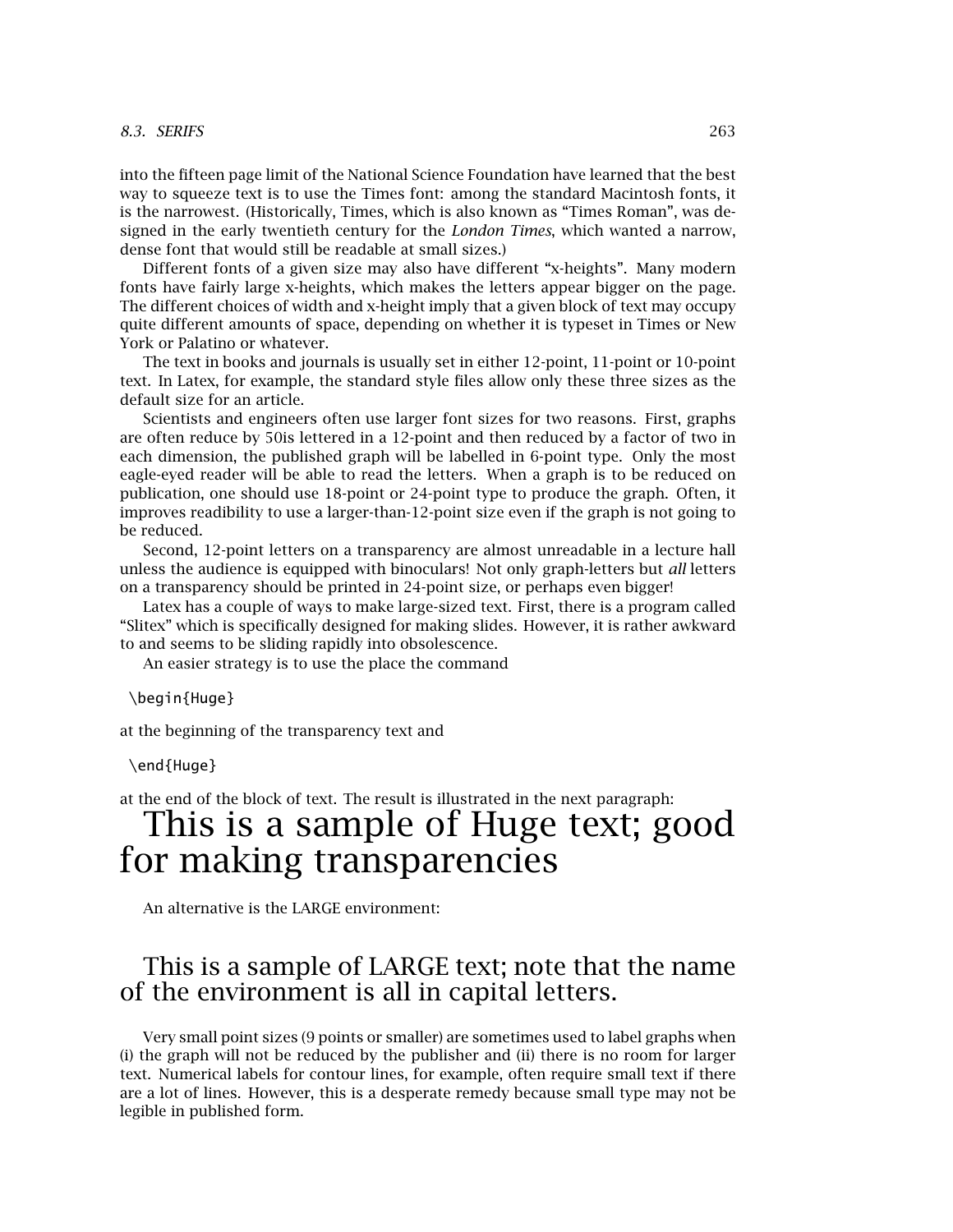#### *8.3. SERIFS* 263

into the fifteen page limit of the National Science Foundation have learned that the best way to squeeze text is to use the Times font: among the standard Macintosh fonts, it is the narrowest. (Historically, Times, which is also known as "Times Roman", was designed in the early twentieth century for the *London Times*, which wanted a narrow, dense font that would still be readable at small sizes.)

Different fonts of a given size may also have different "x-heights". Many modern fonts have fairly large x-heights, which makes the letters appear bigger on the page. The different choices of width and x-height imply that a given block of text may occupy quite different amounts of space, depending on whether it is typeset in Times or New York or Palatino or whatever.

The text in books and journals is usually set in either 12-point, 11-point or 10-point text. In Latex, for example, the standard style files allow only these three sizes as the default size for an article.

Scientists and engineers often use larger font sizes for two reasons. First, graphs are often reduce by 50is lettered in a 12-point and then reduced by a factor of two in each dimension, the published graph will be labelled in 6-point type. Only the most eagle-eyed reader will be able to read the letters. When a graph is to be reduced on publication, one should use 18-point or 24-point type to produce the graph. Often, it improves readibility to use a larger-than-12-point size even if the graph is not going to be reduced.

Second, 12-point letters on a transparency are almost unreadable in a lecture hall unless the audience is equipped with binoculars! Not only graph-letters but *all* letters on a transparency should be printed in 24-point size, or perhaps even bigger!

Latex has a couple of ways to make large-sized text. First, there is a program called "Slitex" which is specifically designed for making slides. However, it is rather awkward to and seems to be sliding rapidly into obsolescence.

An easier strategy is to use the place the command

\begin{Huge}

at the beginning of the transparency text and

\end{Huge}

at the end of the block of text. The result is illustrated in the next paragraph:

# This is a sample of Huge text; good for making transparencies

An alternative is the LARGE environment:

### This is a sample of LARGE text; note that the name of the environment is all in capital letters.

Very small point sizes (9 points or smaller) are sometimes used to label graphs when (i) the graph will not be reduced by the publisher and (ii) there is no room for larger text. Numerical labels for contour lines, for example, often require small text if there are a lot of lines. However, this is a desperate remedy because small type may not be legible in published form.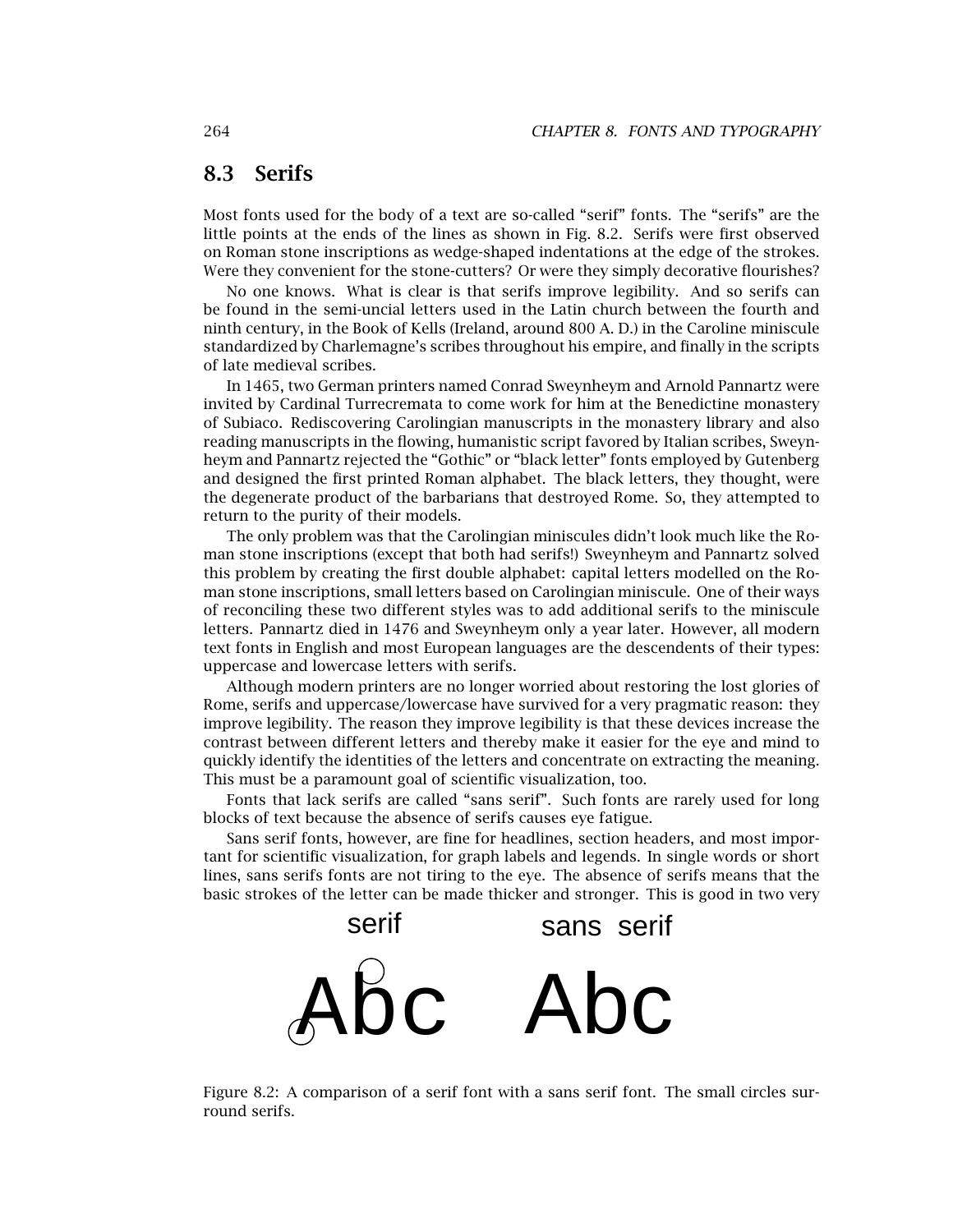#### **8.3 Serifs**

Most fonts used for the body of a text are so-called "serif" fonts. The "serifs" are the little points at the ends of the lines as shown in Fig. 8.2. Serifs were first observed on Roman stone inscriptions as wedge-shaped indentations at the edge of the strokes. Were they convenient for the stone-cutters? Or were they simply decorative flourishes?

No one knows. What is clear is that serifs improve legibility. And so serifs can be found in the semi-uncial letters used in the Latin church between the fourth and ninth century, in the Book of Kells (Ireland, around 800 A. D.) in the Caroline miniscule standardized by Charlemagne's scribes throughout his empire, and finally in the scripts of late medieval scribes.

In 1465, two German printers named Conrad Sweynheym and Arnold Pannartz were invited by Cardinal Turrecremata to come work for him at the Benedictine monastery of Subiaco. Rediscovering Carolingian manuscripts in the monastery library and also reading manuscripts in the flowing, humanistic script favored by Italian scribes, Sweynheym and Pannartz rejected the "Gothic" or "black letter" fonts employed by Gutenberg and designed the first printed Roman alphabet. The black letters, they thought, were the degenerate product of the barbarians that destroyed Rome. So, they attempted to return to the purity of their models.

The only problem was that the Carolingian miniscules didn't look much like the Roman stone inscriptions (except that both had serifs!) Sweynheym and Pannartz solved this problem by creating the first double alphabet: capital letters modelled on the Roman stone inscriptions, small letters based on Carolingian miniscule. One of their ways of reconciling these two different styles was to add additional serifs to the miniscule letters. Pannartz died in 1476 and Sweynheym only a year later. However, all modern text fonts in English and most European languages are the descendents of their types: uppercase and lowercase letters with serifs.

Although modern printers are no longer worried about restoring the lost glories of Rome, serifs and uppercase/lowercase have survived for a very pragmatic reason: they improve legibility. The reason they improve legibility is that these devices increase the contrast between different letters and thereby make it easier for the eye and mind to quickly identify the identities of the letters and concentrate on extracting the meaning. This must be a paramount goal of scientific visualization, too.

Fonts that lack serifs are called "sans serif". Such fonts are rarely used for long blocks of text because the absence of serifs causes eye fatigue.

Sans serif fonts, however, are fine for headlines, section headers, and most important for scientific visualization, for graph labels and legends. In single words or short lines, sans serifs fonts are not tiring to the eye. The absence of serifs means that the basic strokes of the letter can be made thicker and stronger. This is good in two very



Figure 8.2: A comparison of a serif font with a sans serif font. The small circles surround serifs.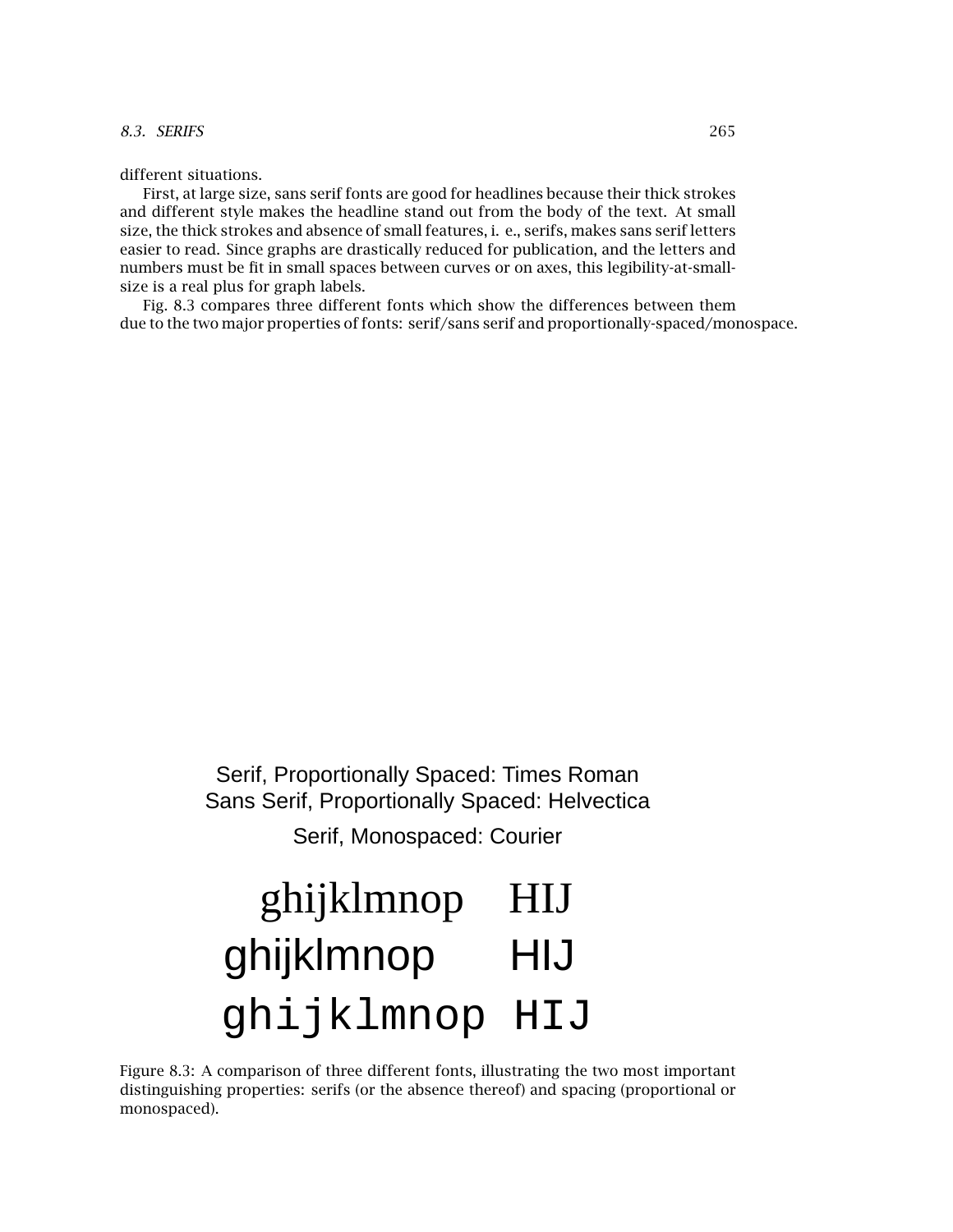different situations.

First, at large size, sans serif fonts are good for headlines because their thick strokes and different style makes the headline stand out from the body of the text. At small size, the thick strokes and absence of small features, i. e., serifs, makes sans serif letters easier to read. Since graphs are drastically reduced for publication, and the letters and numbers must be fit in small spaces between curves or on axes, this legibility-at-smallsize is a real plus for graph labels.

Fig. 8.3 compares three different fonts which show the differences between them due to the two major properties of fonts: serif/sans serif and proportionally-spaced/monospace.

> Serif, Proportionally Spaced: Times Roman Sans Serif, Proportionally Spaced: Helvectica

> > Serif, Monospaced: Courier

# ghijklmnop HIJ ghijklmnop HIJ ghijklmnop HIJ

Figure 8.3: A comparison of three different fonts, illustrating the two most important distinguishing properties: serifs (or the absence thereof) and spacing (proportional or monospaced).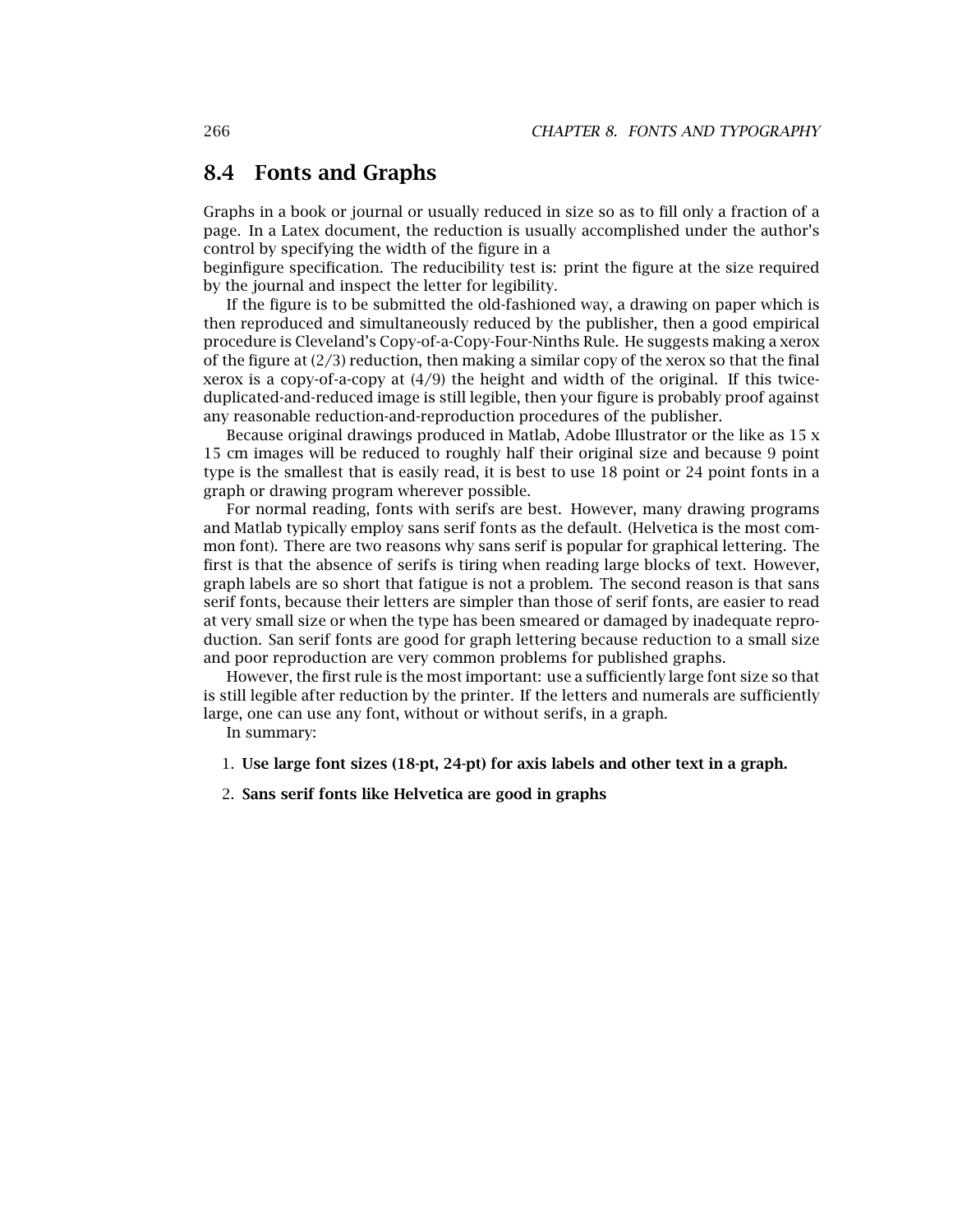#### **8.4 Fonts and Graphs**

Graphs in a book or journal or usually reduced in size so as to fill only a fraction of a page. In a Latex document, the reduction is usually accomplished under the author's control by specifying the width of the figure in a

beginfigure specification. The reducibility test is: print the figure at the size required by the journal and inspect the letter for legibility.

If the figure is to be submitted the old-fashioned way, a drawing on paper which is then reproduced and simultaneously reduced by the publisher, then a good empirical procedure is Cleveland's Copy-of-a-Copy-Four-Ninths Rule. He suggests making a xerox of the figure at  $(2/3)$  reduction, then making a similar copy of the xerox so that the final xerox is a copy-of-a-copy at (4/9) the height and width of the original. If this twiceduplicated-and-reduced image is still legible, then your figure is probably proof against any reasonable reduction-and-reproduction procedures of the publisher.

Because original drawings produced in Matlab, Adobe Illustrator or the like as  $15 \times$ 15 cm images will be reduced to roughly half their original size and because 9 point type is the smallest that is easily read, it is best to use 18 point or 24 point fonts in a graph or drawing program wherever possible.

For normal reading, fonts with serifs are best. However, many drawing programs and Matlab typically employ sans serif fonts as the default. (Helvetica is the most common font). There are two reasons why sans serif is popular for graphical lettering. The first is that the absence of serifs is tiring when reading large blocks of text. However, graph labels are so short that fatigue is not a problem. The second reason is that sans serif fonts, because their letters are simpler than those of serif fonts, are easier to read at very small size or when the type has been smeared or damaged by inadequate reproduction. San serif fonts are good for graph lettering because reduction to a small size and poor reproduction are very common problems for published graphs.

However, the first rule is the most important: use a sufficiently large font size so that is still legible after reduction by the printer. If the letters and numerals are sufficiently large, one can use any font, without or without serifs, in a graph.

In summary:

- 1. **Use large font sizes (18-pt, 24-pt) for axis labels and other text in a graph.**
- 2. **Sans serif fonts like Helvetica are good in graphs**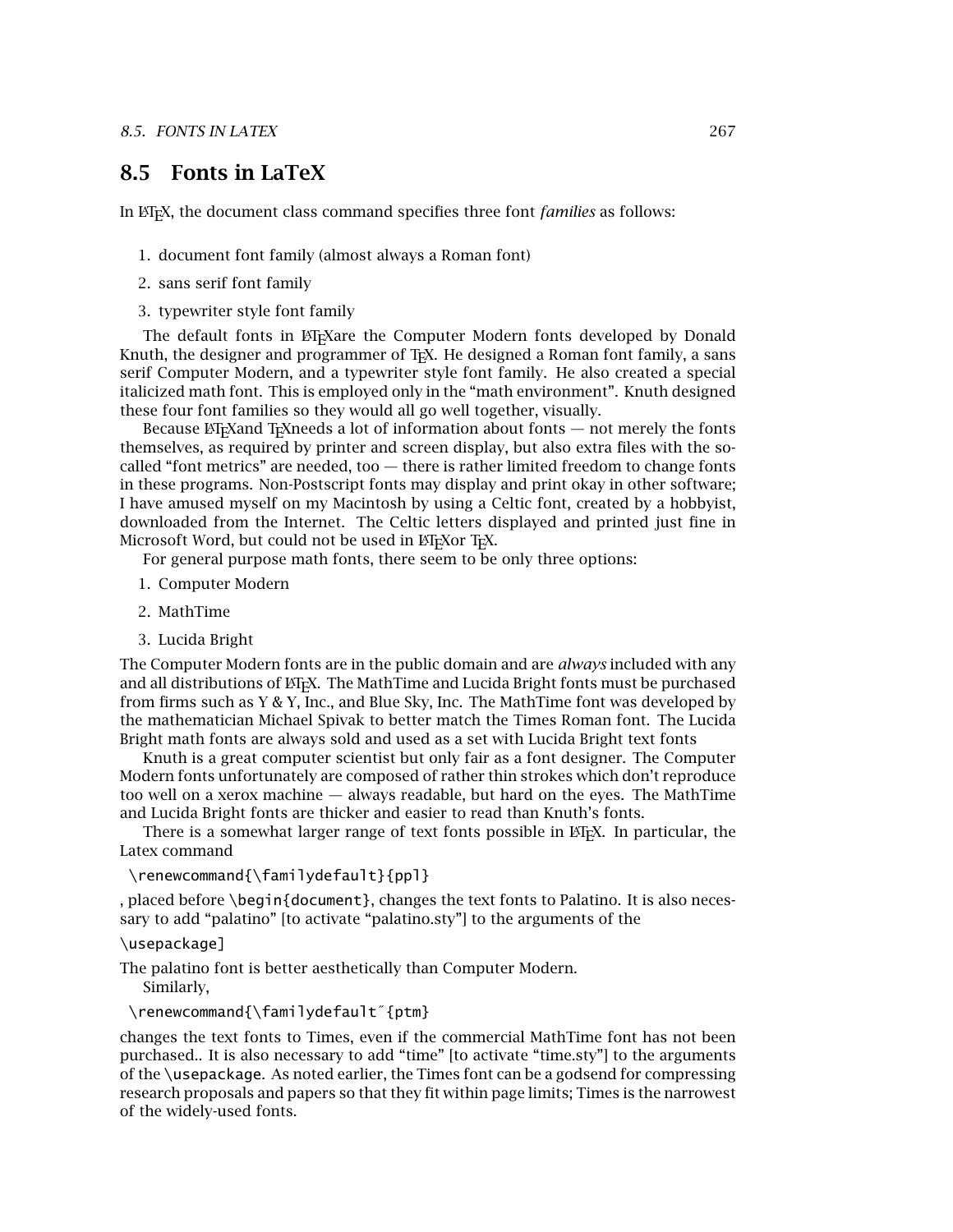#### **8.5 Fonts in LaTeX**

In LATEX, the document class command specifies three font *families* as follows:

- 1. document font family (almost always a Roman font)
- 2. sans serif font family
- 3. typewriter style font family

The default fonts in LAT<sub>EX</sub>are the Computer Modern fonts developed by Donald Knuth, the designer and programmer of T<sub>EX</sub>. He designed a Roman font family, a sans serif Computer Modern, and a typewriter style font family. He also created a special italicized math font. This is employed only in the "math environment". Knuth designed these four font families so they would all go well together, visually.

Because  $E$ T<sub>E</sub>Xand T<sub>E</sub>Xneeds a lot of information about fonts  $-$  not merely the fonts themselves, as required by printer and screen display, but also extra files with the socalled "font metrics" are needed, too — there is rather limited freedom to change fonts in these programs. Non-Postscript fonts may display and print okay in other software; I have amused myself on my Macintosh by using a Celtic font, created by a hobbyist, downloaded from the Internet. The Celtic letters displayed and printed just fine in Microsoft Word, but could not be used in ETEXor TEX.

For general purpose math fonts, there seem to be only three options:

- 1. Computer Modern
- 2. MathTime
- 3. Lucida Bright

The Computer Modern fonts are in the public domain and are *always* included with any and all distributions of  $ETr[X]$ . The MathTime and Lucida Bright fonts must be purchased from firms such as Y & Y, Inc., and Blue Sky, Inc. The MathTime font was developed by the mathematician Michael Spivak to better match the Times Roman font. The Lucida Bright math fonts are always sold and used as a set with Lucida Bright text fonts

Knuth is a great computer scientist but only fair as a font designer. The Computer Modern fonts unfortunately are composed of rather thin strokes which don't reproduce too well on a xerox machine — always readable, but hard on the eyes. The MathTime and Lucida Bright fonts are thicker and easier to read than Knuth's fonts.

There is a somewhat larger range of text fonts possible in ET<sub>EX</sub>. In particular, the Latex command

\renewcommand{\familydefault}{ppl}

, placed before \begin{document}, changes the text fonts to Palatino. It is also necessary to add "palatino" [to activate "palatino.sty"] to the arguments of the

#### \usepackage]

The palatino font is better aesthetically than Computer Modern.

Similarly,

\renewcommand{\familydefault˝{ptm}

changes the text fonts to Times, even if the commercial MathTime font has not been purchased.. It is also necessary to add "time" [to activate "time.sty"] to the arguments of the \usepackage. As noted earlier, the Times font can be a godsend for compressing research proposals and papers so that they fit within page limits; Times is the narrowest of the widely-used fonts.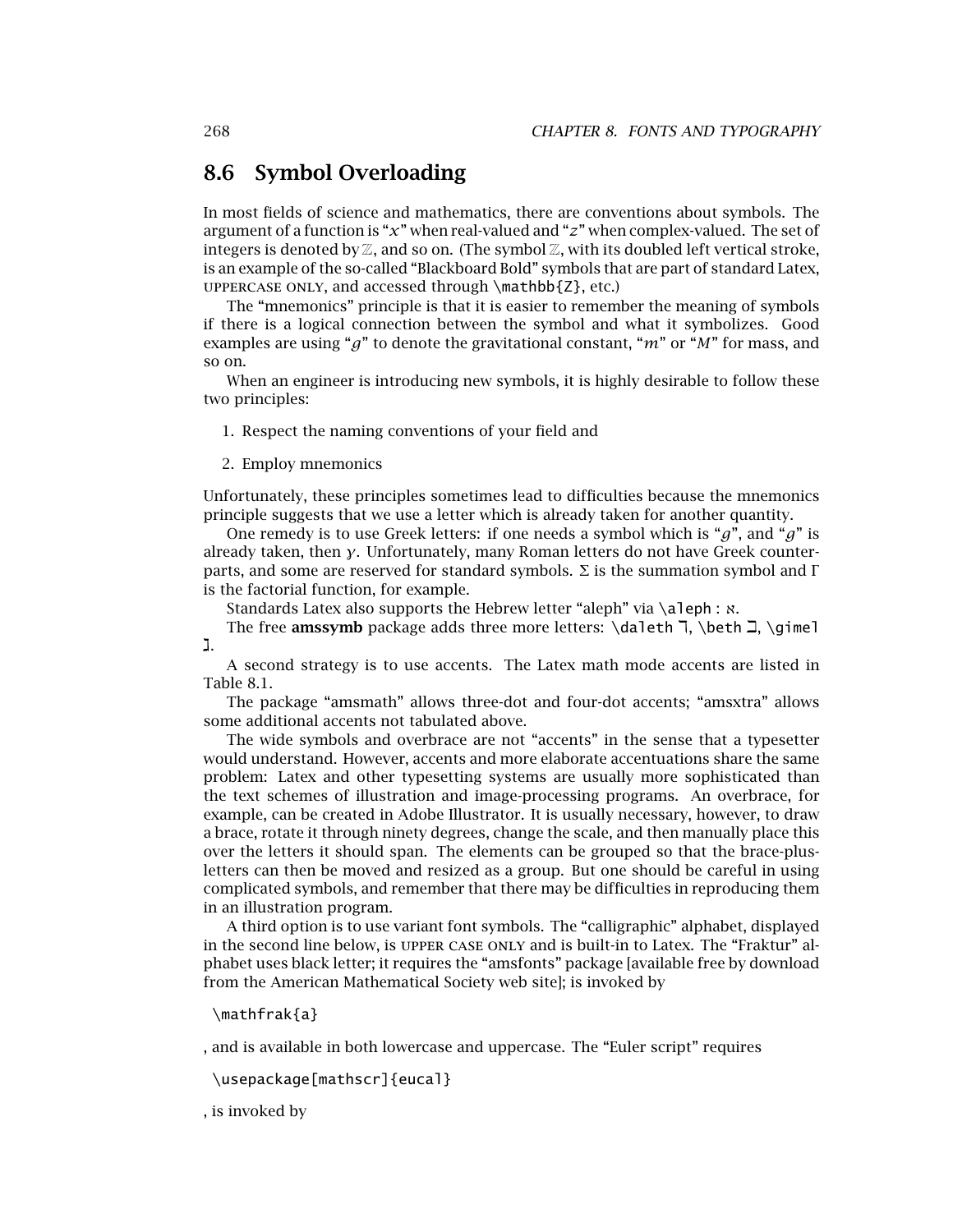#### **8.6 Symbol Overloading**

In most fields of science and mathematics, there are conventions about symbols. The argument of a function is "*x*" when real-valued and "*z*" when complex-valued. The set of integers is denoted by  $\mathbb{Z}$ , and so on. (The symbol  $\mathbb{Z}$ , with its doubled left vertical stroke, is an example of the so-called "Blackboard Bold" symbols that are part of standard Latex, UPPERCASE ONLY, and accessed through  $\mathbf{Z}$ , etc.)

The "mnemonics" principle is that it is easier to remember the meaning of symbols if there is a logical connection between the symbol and what it symbolizes. Good examples are using "*g*" to denote the gravitational constant, "*m*" or "*M*" for mass, and so on.

When an engineer is introducing new symbols, it is highly desirable to follow these two principles:

1. Respect the naming conventions of your field and

2. Employ mnemonics

Unfortunately, these principles sometimes lead to difficulties because the mnemonics principle suggests that we use a letter which is already taken for another quantity.

One remedy is to use Greek letters: if one needs a symbol which is "*g*", and "*g*" is already taken, then *γ*. Unfortunately, many Roman letters do not have Greek counterparts, and some are reserved for standard symbols. Σ is the summation symbol and Γ is the factorial function, for example.

Standards Latex also supports the Hebrew letter "aleph" via \aleph : ℵ.

The free **amssymb** package adds three more letters:  $\delta \lambda$ ,  $\delta \lambda$ ,  $\delta \lambda$ ,  $\delta \lambda$ ,  $\delta \lambda$ ,  $\delta \lambda$ ,  $\delta \lambda$ ,  $\delta \lambda$ ,  $\delta \lambda$ ,  $\delta \lambda$ ,  $\delta \lambda$ ,  $\delta \lambda$ ,  $\delta \lambda$ ,  $\delta \lambda$ ,  $\delta \lambda$ ,  $\delta \lambda$ ,  $\delta \lambda$ ,  $\delta \lambda$ ,  $\delta \lambda$ ,  $\delta \lambda$ ,  $\delta \lambda$ , j.

A second strategy is to use accents. The Latex math mode accents are listed in Table 8.1.

The package "amsmath" allows three-dot and four-dot accents; "amsxtra" allows some additional accents not tabulated above.

The wide symbols and overbrace are not "accents" in the sense that a typesetter would understand. However, accents and more elaborate accentuations share the same problem: Latex and other typesetting systems are usually more sophisticated than the text schemes of illustration and image-processing programs. An overbrace, for example, can be created in Adobe Illustrator. It is usually necessary, however, to draw a brace, rotate it through ninety degrees, change the scale, and then manually place this over the letters it should span. The elements can be grouped so that the brace-plusletters can then be moved and resized as a group. But one should be careful in using complicated symbols, and remember that there may be difficulties in reproducing them in an illustration program.

A third option is to use variant font symbols. The "calligraphic" alphabet, displayed in the second line below, is upper case only and is built-in to Latex. The "Fraktur" alphabet uses black letter; it requires the "amsfonts" package [available free by download from the American Mathematical Society web site]; is invoked by

\mathfrak{a}

, and is available in both lowercase and uppercase. The "Euler script" requires

\usepackage[mathscr]{eucal}

, is invoked by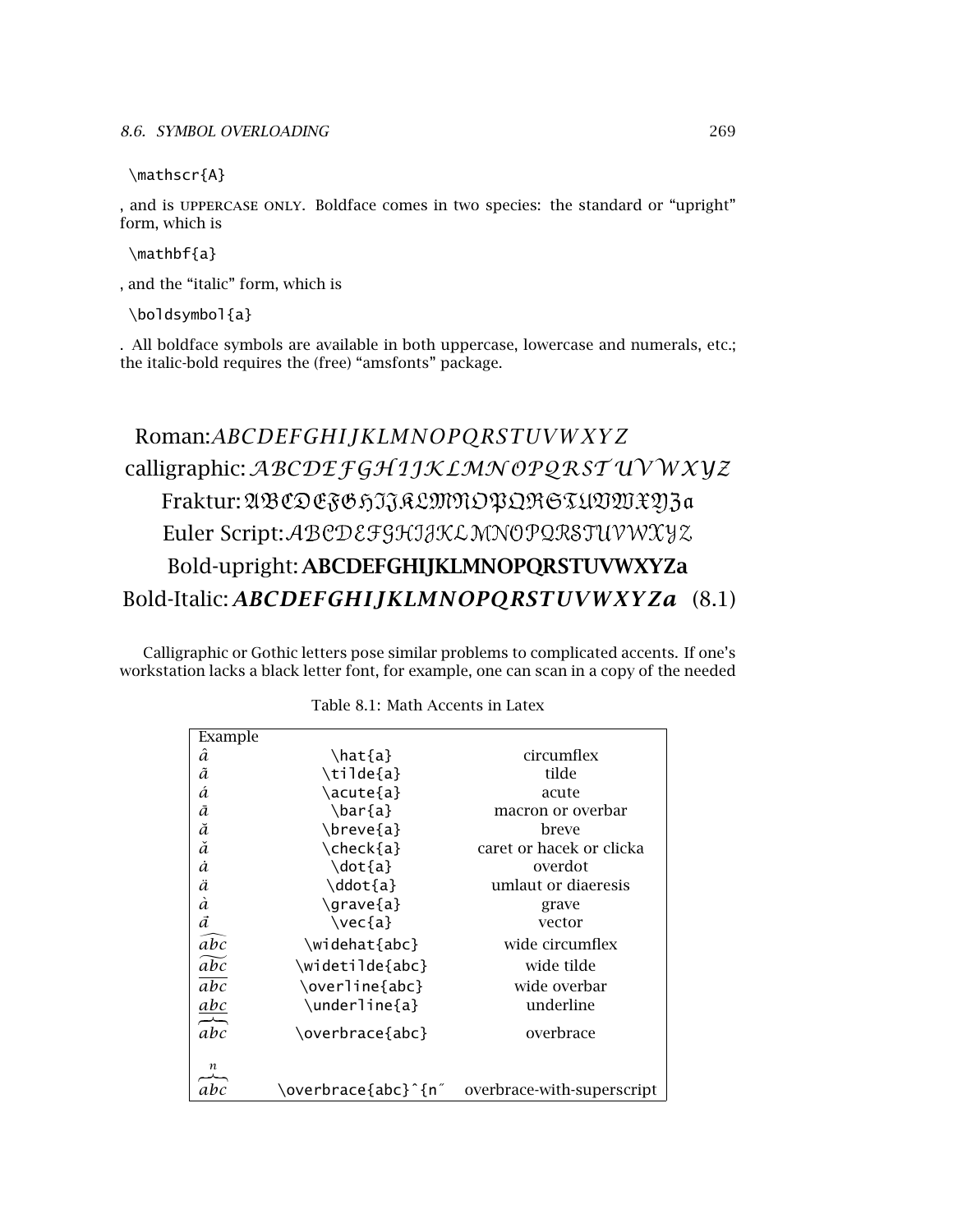\mathscr{A}

, and is uppercase only. Boldface comes in two species: the standard or "upright" form, which is

\mathbf{a}

, and the "italic" form, which is

\boldsymbol{a}

. All boldface symbols are available in both uppercase, lowercase and numerals, etc.; the italic-bold requires the (free) "amsfonts" package.

## Roman:*ABCDEFGHIJKLMNOPQRST UVW XY Z* calligraphic: ABCDE FGH 1JKLMN OPQRST UVWXVZ Fraktur: ABCDEFGHIJRLMNOPQRGTUVWXYJ3a Euler Script:ABCDEFGHIJKLMNOPQRSTUVWXYZ Bold-upright: **ABCDEFGHIJKLMNOPQRSTUVWXYZa** Bold-Italic: *ABCDEFGHIJKLMNOPQRST UVWXY Za* (8.1)

Calligraphic or Gothic letters pose similar problems to complicated accents. If one's workstation lacks a black letter font, for example, one can scan in a copy of the needed

| Example           |                     |                            |
|-------------------|---------------------|----------------------------|
| â                 | \hat{a}             | circumflex                 |
| ã                 | \tilde{a}           | tilde                      |
| á                 | \acute{a}           | acute                      |
| ā                 | $\bar{a}$           | macron or overbar          |
| ă                 | \breve{a}           | breve                      |
| ă                 | \check{a}           | caret or hacek or clicka   |
| à                 | \dot{a}             | overdot                    |
| ä                 | \ddot{a}            | umlaut or diaeresis        |
| à                 | \grave{a}           | grave                      |
| $\vec{a}$         | $\vee$ ec{a}        | vector                     |
| $\widehat{abc}$   | \widehat{abc}       | wide circumflex            |
| $\widetilde{abc}$ | \widetilde{abc}     | wide tilde                 |
| abc               | \overline{abc}      | wide overbar               |
|                   | \underline{a}       | underline                  |
| $\frac{abc}{abc}$ | \overbrace{abc}     | overbrace                  |
| n<br>abc          | \overbrace{abc}^{n″ | overbrace-with-superscript |

Table 8.1: Math Accents in Latex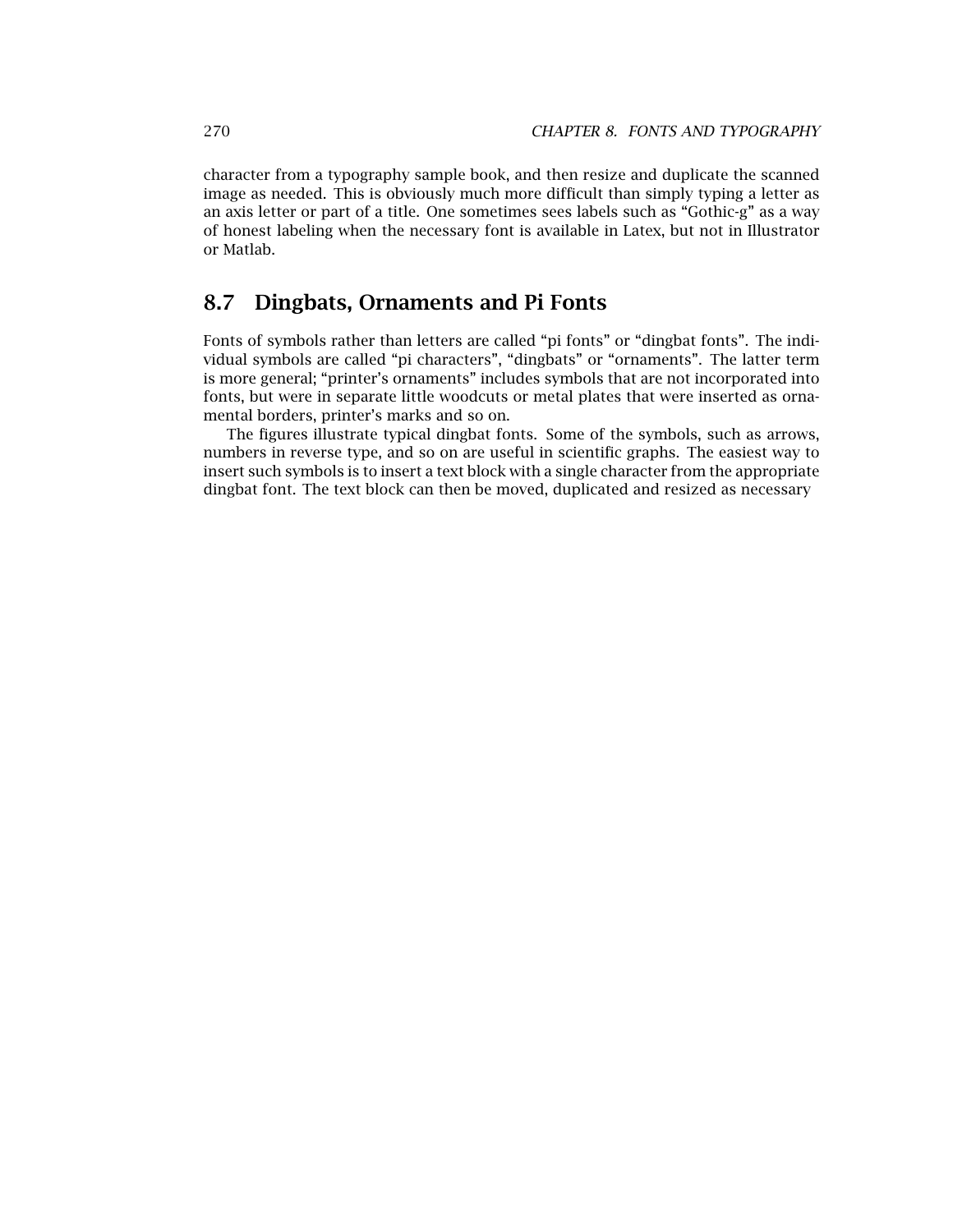character from a typography sample book, and then resize and duplicate the scanned image as needed. This is obviously much more difficult than simply typing a letter as an axis letter or part of a title. One sometimes sees labels such as "Gothic-g" as a way of honest labeling when the necessary font is available in Latex, but not in Illustrator or Matlab.

#### **8.7 Dingbats, Ornaments and Pi Fonts**

Fonts of symbols rather than letters are called "pi fonts" or "dingbat fonts". The individual symbols are called "pi characters", "dingbats" or "ornaments". The latter term is more general; "printer's ornaments" includes symbols that are not incorporated into fonts, but were in separate little woodcuts or metal plates that were inserted as ornamental borders, printer's marks and so on.

The figures illustrate typical dingbat fonts. Some of the symbols, such as arrows, numbers in reverse type, and so on are useful in scientific graphs. The easiest way to insert such symbols is to insert a text block with a single character from the appropriate dingbat font. The text block can then be moved, duplicated and resized as necessary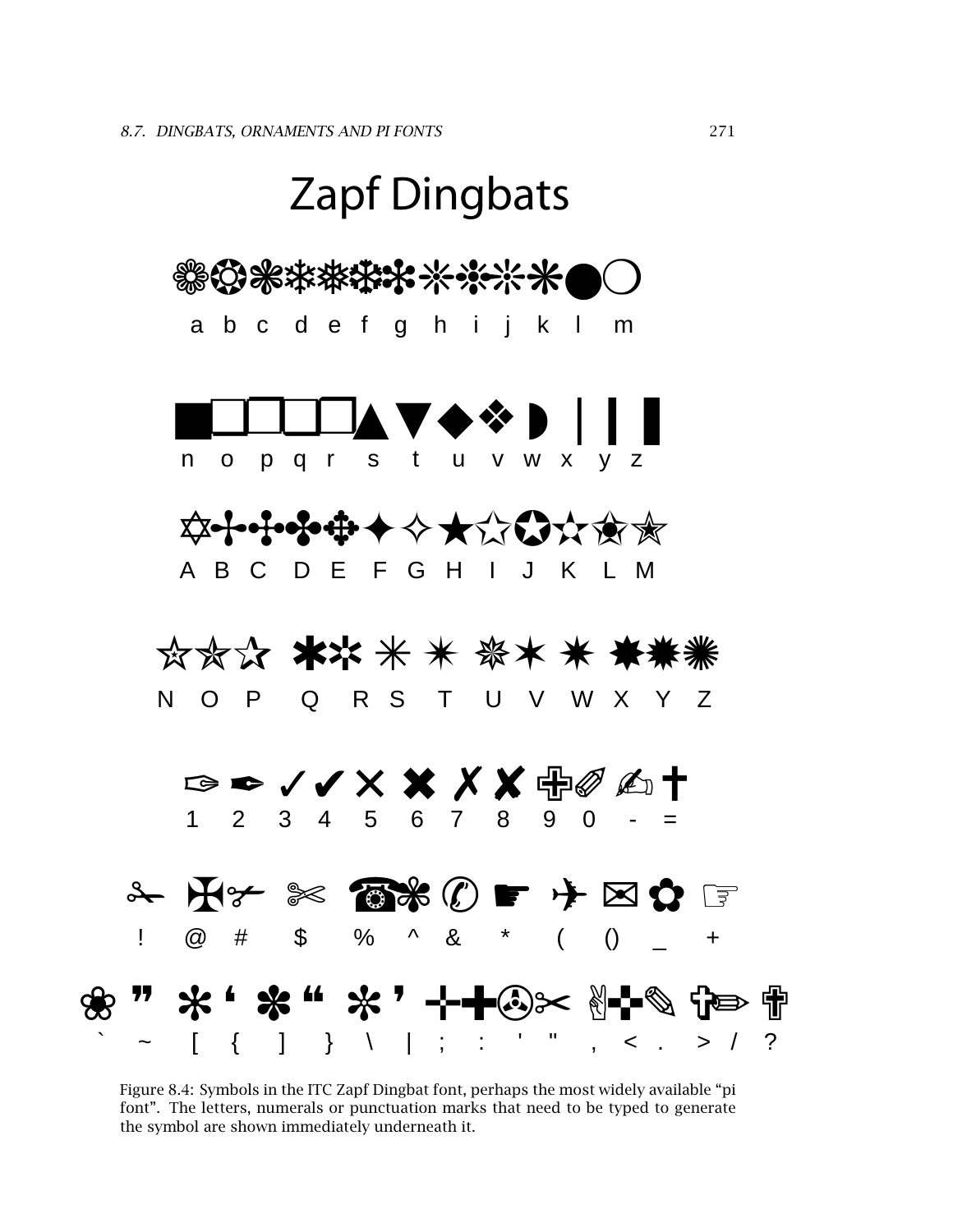

Figure 8.4: Symbols in the ITC Zapf Dingbat font, perhaps the most widely available "pi font". The letters, numerals or punctuation marks that need to be typed to generate the symbol are shown immediately underneath it.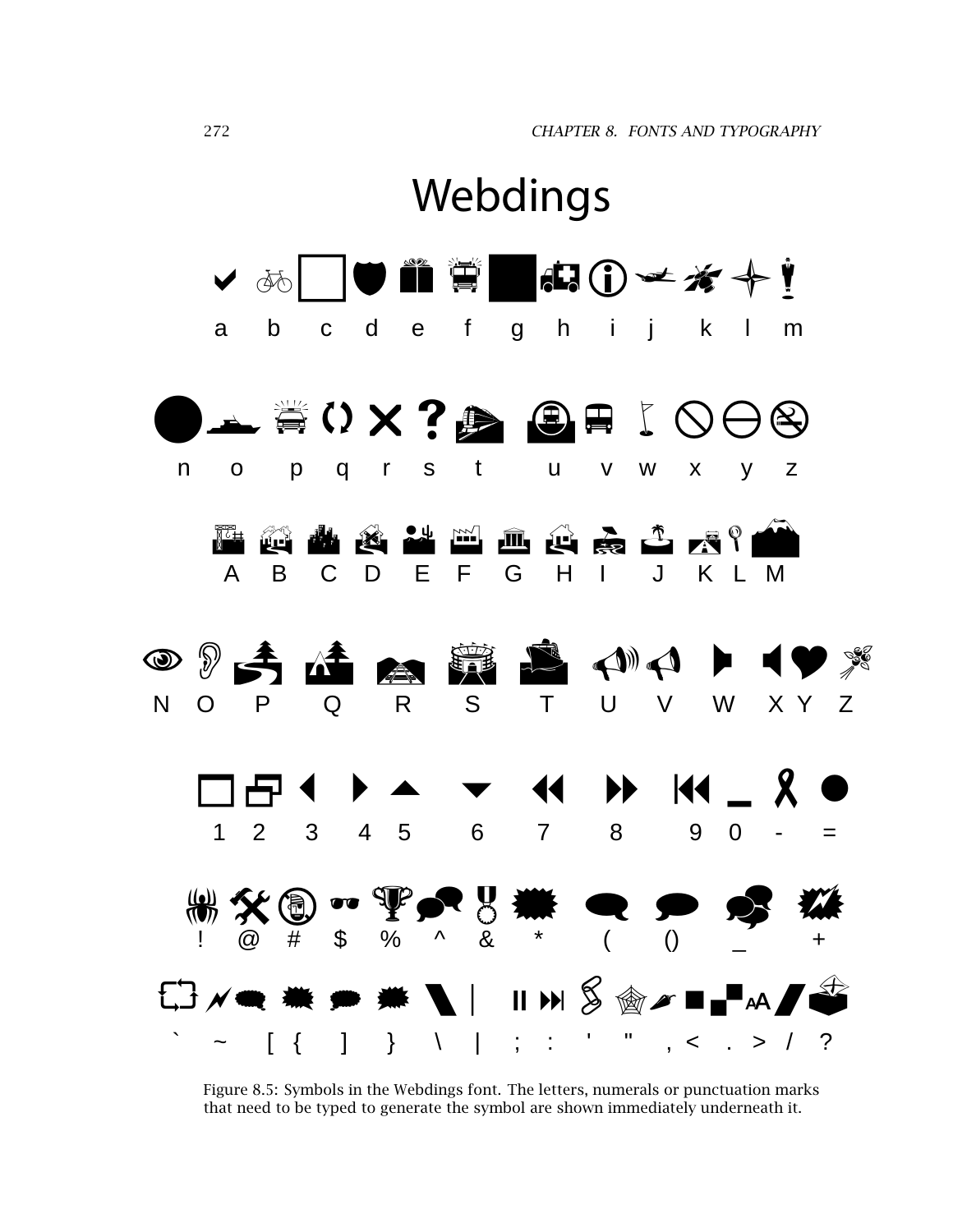

Figure 8.5: Symbols in the Webdings font. The letters, numerals or punctuation marks that need to be typed to generate the symbol are shown immediately underneath it.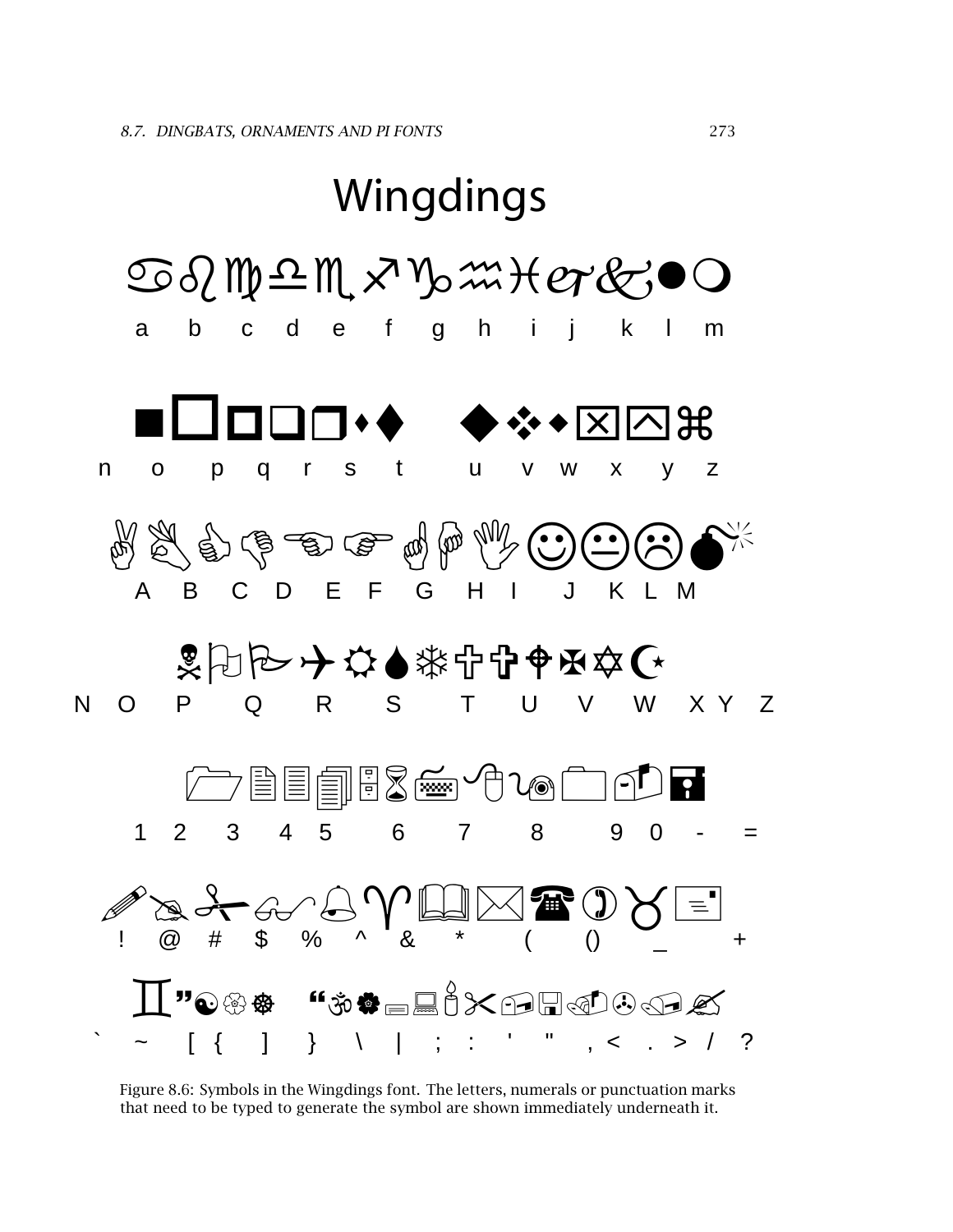

Figure 8.6: Symbols in the Wingdings font. The letters, numerals or punctuation marks that need to be typed to generate the symbol are shown immediately underneath it.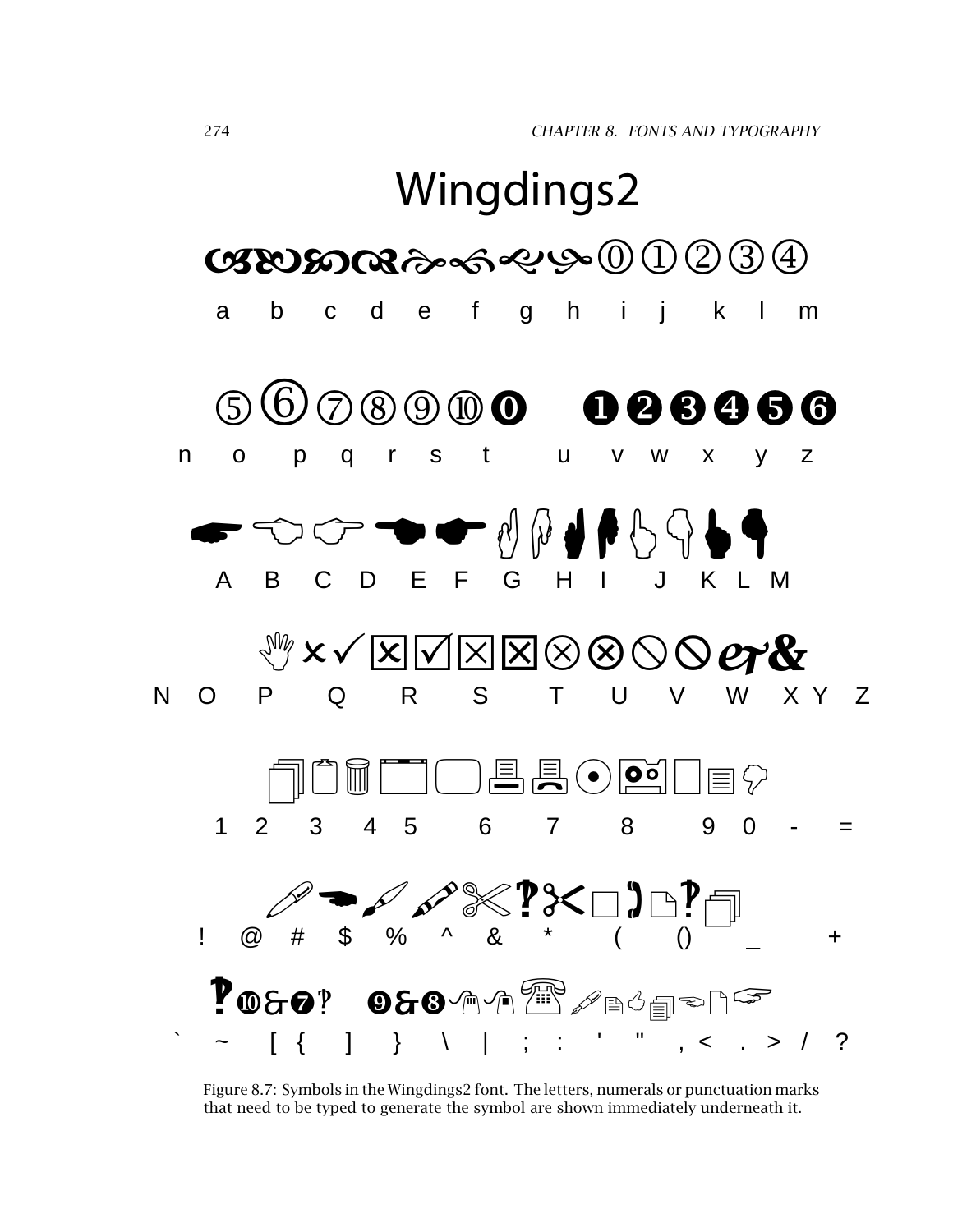

Figure 8.7: Symbols in the Wingdings2 font. The letters, numerals or punctuation marks that need to be typed to generate the symbol are shown immediately underneath it.